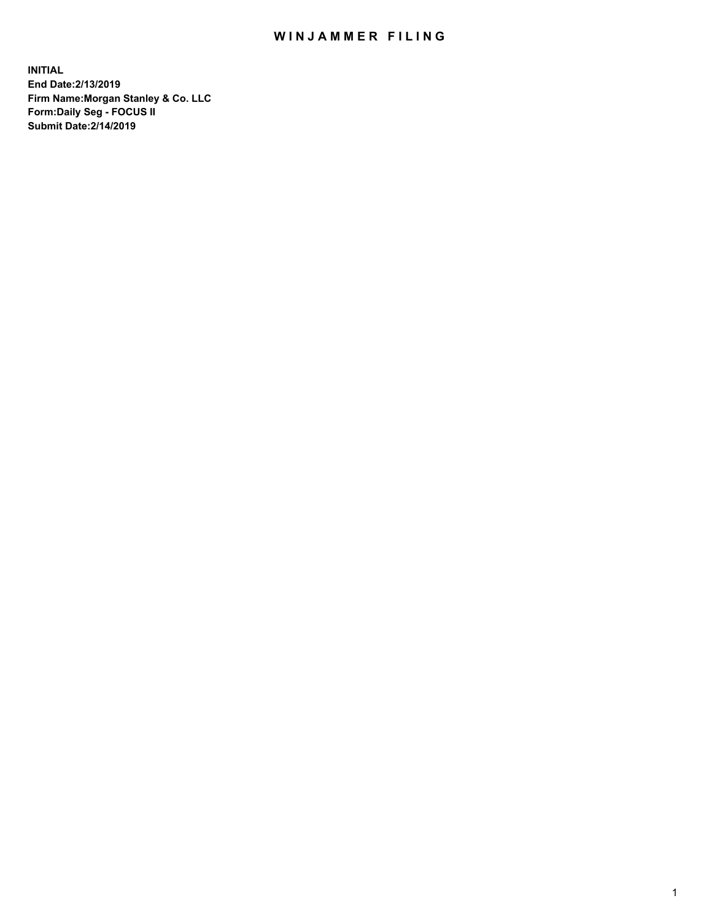## WIN JAMMER FILING

**INITIAL End Date:2/13/2019 Firm Name:Morgan Stanley & Co. LLC Form:Daily Seg - FOCUS II Submit Date:2/14/2019**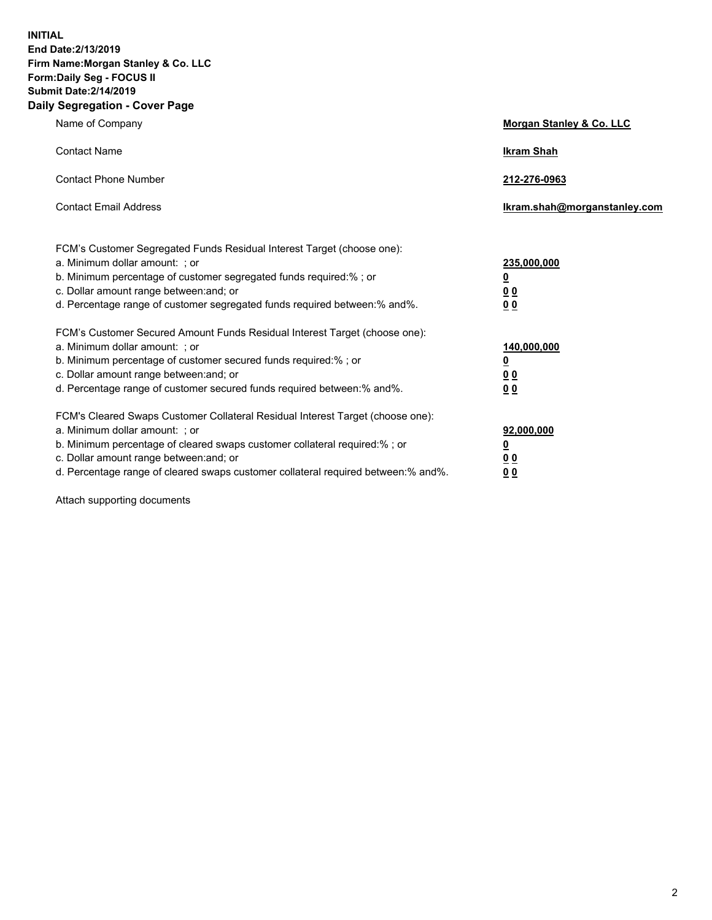**INITIAL End Date:2/13/2019 Firm Name:Morgan Stanley & Co. LLC Form:Daily Seg - FOCUS II Submit Date:2/14/2019 Daily Segregation - Cover Page**

| Name of Company                                                                                                                                                                                                                                                                                                                | Morgan Stanley & Co. LLC                               |
|--------------------------------------------------------------------------------------------------------------------------------------------------------------------------------------------------------------------------------------------------------------------------------------------------------------------------------|--------------------------------------------------------|
| <b>Contact Name</b>                                                                                                                                                                                                                                                                                                            | <b>Ikram Shah</b>                                      |
| <b>Contact Phone Number</b>                                                                                                                                                                                                                                                                                                    | 212-276-0963                                           |
| <b>Contact Email Address</b>                                                                                                                                                                                                                                                                                                   | Ikram.shah@morganstanley.com                           |
| FCM's Customer Segregated Funds Residual Interest Target (choose one):<br>a. Minimum dollar amount: ; or<br>b. Minimum percentage of customer segregated funds required:% ; or<br>c. Dollar amount range between: and; or<br>d. Percentage range of customer segregated funds required between:% and%.                         | 235,000,000<br><u>0</u><br><u>0 0</u><br>0 Q           |
| FCM's Customer Secured Amount Funds Residual Interest Target (choose one):<br>a. Minimum dollar amount: ; or<br>b. Minimum percentage of customer secured funds required:%; or<br>c. Dollar amount range between: and; or<br>d. Percentage range of customer secured funds required between:% and%.                            | 140,000,000<br><u>0</u><br><u>00</u><br>0 <sub>0</sub> |
| FCM's Cleared Swaps Customer Collateral Residual Interest Target (choose one):<br>a. Minimum dollar amount: ; or<br>b. Minimum percentage of cleared swaps customer collateral required:% ; or<br>c. Dollar amount range between: and; or<br>d. Percentage range of cleared swaps customer collateral required between:% and%. | 92,000,000<br><u>0</u><br><u>00</u><br>0 <sub>0</sub>  |

Attach supporting documents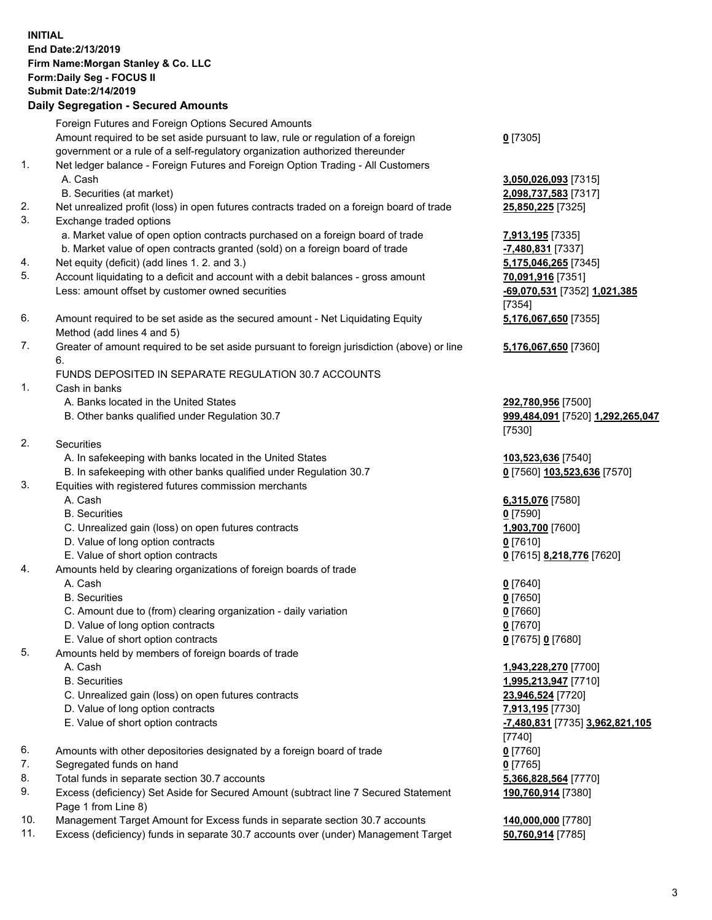## **INITIAL End Date:2/13/2019 Firm Name:Morgan Stanley & Co. LLC Form:Daily Seg - FOCUS II Submit Date:2/14/2019 Daily Segregation - Secured Amounts**

Foreign Futures and Foreign Options Secured Amounts Amount required to be set aside pursuant to law, rule or regulation of a foreign

- government or a rule of a self-regulatory organization authorized thereunder 1. Net ledger balance - Foreign Futures and Foreign Option Trading - All Customers A. Cash **3,050,026,093** [7315]
	- B. Securities (at market) **2,098,737,583** [7317]
- 2. Net unrealized profit (loss) in open futures contracts traded on a foreign board of trade **25,850,225** [7325]
- 3. Exchange traded options
	- a. Market value of open option contracts purchased on a foreign board of trade **7,913,195** [7335]
	- b. Market value of open contracts granted (sold) on a foreign board of trade **-7,480,831** [7337]
- 4. Net equity (deficit) (add lines 1. 2. and 3.) **5,175,046,265** [7345]
- 5. Account liquidating to a deficit and account with a debit balances gross amount **70,091,916** [7351] Less: amount offset by customer owned securities **-69,070,531** [7352] **1,021,385**
- 6. Amount required to be set aside as the secured amount Net Liquidating Equity Method (add lines 4 and 5)
- 7. Greater of amount required to be set aside pursuant to foreign jurisdiction (above) or line 6.

## FUNDS DEPOSITED IN SEPARATE REGULATION 30.7 ACCOUNTS

- 1. Cash in banks
	- A. Banks located in the United States **292,780,956** [7500]
	- B. Other banks qualified under Regulation 30.7 **999,484,091** [7520] **1,292,265,047**
- 2. Securities
	- A. In safekeeping with banks located in the United States **103,523,636** [7540]
	- B. In safekeeping with other banks qualified under Regulation 30.7 **0** [7560] **103,523,636** [7570]
- 3. Equities with registered futures commission merchants
	-
	- B. Securities **0** [7590]
	- C. Unrealized gain (loss) on open futures contracts **1,903,700** [7600]
	- D. Value of long option contracts **0** [7610]
- E. Value of short option contracts **0** [7615] **8,218,776** [7620]
- 4. Amounts held by clearing organizations of foreign boards of trade
	- A. Cash **0** [7640]
	- B. Securities **0** [7650]
	- C. Amount due to (from) clearing organization daily variation **0** [7660]
	- D. Value of long option contracts **0** [7670]
	- E. Value of short option contracts **0** [7675] **0** [7680]
- 5. Amounts held by members of foreign boards of trade
	-
	-
	- C. Unrealized gain (loss) on open futures contracts **23,946,524** [7720]
	- D. Value of long option contracts **7,913,195** [7730]
	- E. Value of short option contracts **-7,480,831** [7735] **3,962,821,105**
- 6. Amounts with other depositories designated by a foreign board of trade **0** [7760]
- 7. Segregated funds on hand **0** [7765]
- 8. Total funds in separate section 30.7 accounts **5,366,828,564** [7770]
- 9. Excess (deficiency) Set Aside for Secured Amount (subtract line 7 Secured Statement Page 1 from Line 8)
- 10. Management Target Amount for Excess funds in separate section 30.7 accounts **140,000,000** [7780]
- 11. Excess (deficiency) funds in separate 30.7 accounts over (under) Management Target **50,760,914** [7785]

**0** [7305]

[7354] **5,176,067,650** [7355]

**5,176,067,650** [7360]

[7530]

A. Cash **6,315,076** [7580]

 A. Cash **1,943,228,270** [7700] B. Securities **1,995,213,947** [7710] [7740] **190,760,914** [7380]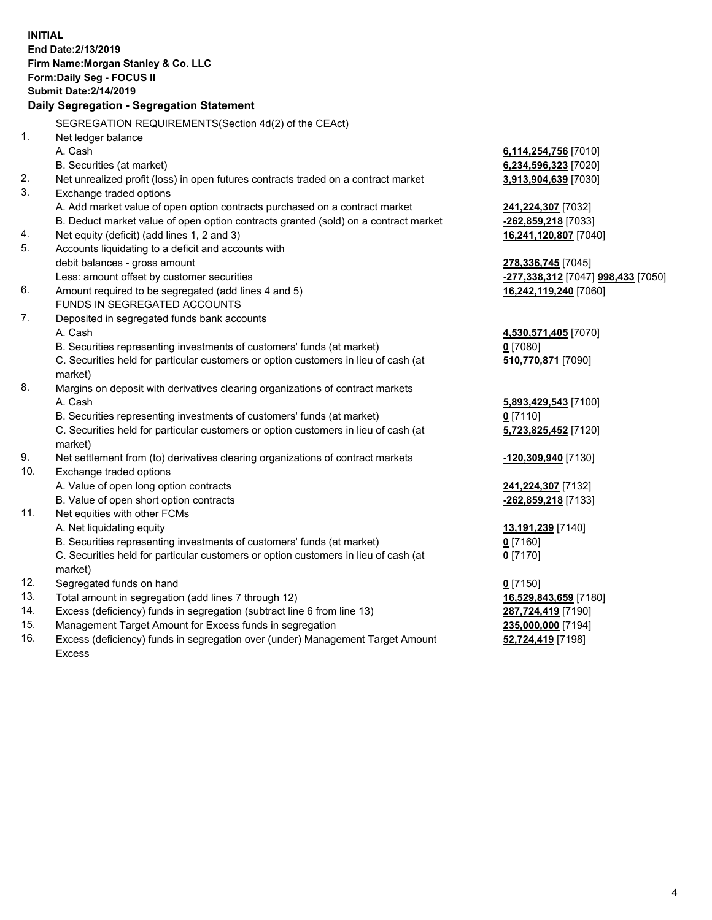**INITIAL End Date:2/13/2019 Firm Name:Morgan Stanley & Co. LLC Form:Daily Seg - FOCUS II Submit Date:2/14/2019 Daily Segregation - Segregation Statement** SEGREGATION REQUIREMENTS(Section 4d(2) of the CEAct) 1. Net ledger balance A. Cash **6,114,254,756** [7010] B. Securities (at market) **6,234,596,323** [7020] 2. Net unrealized profit (loss) in open futures contracts traded on a contract market **3,913,904,639** [7030] 3. Exchange traded options A. Add market value of open option contracts purchased on a contract market **241,224,307** [7032] B. Deduct market value of open option contracts granted (sold) on a contract market **-262,859,218** [7033] 4. Net equity (deficit) (add lines 1, 2 and 3) **16,241,120,807** [7040] 5. Accounts liquidating to a deficit and accounts with debit balances - gross amount **278,336,745** [7045] Less: amount offset by customer securities **-277,338,312** [7047] **998,433** [7050] 6. Amount required to be segregated (add lines 4 and 5) **16,242,119,240** [7060] FUNDS IN SEGREGATED ACCOUNTS 7. Deposited in segregated funds bank accounts A. Cash **4,530,571,405** [7070] B. Securities representing investments of customers' funds (at market) **0** [7080] C. Securities held for particular customers or option customers in lieu of cash (at market) **510,770,871** [7090] 8. Margins on deposit with derivatives clearing organizations of contract markets A. Cash **5,893,429,543** [7100] B. Securities representing investments of customers' funds (at market) **0** [7110] C. Securities held for particular customers or option customers in lieu of cash (at market) **5,723,825,452** [7120] 9. Net settlement from (to) derivatives clearing organizations of contract markets **-120,309,940** [7130] 10. Exchange traded options A. Value of open long option contracts **241,224,307** [7132] B. Value of open short option contracts **-262,859,218** [7133] 11. Net equities with other FCMs A. Net liquidating equity **13,191,239** [7140] B. Securities representing investments of customers' funds (at market) **0** [7160] C. Securities held for particular customers or option customers in lieu of cash (at market) **0** [7170] 12. Segregated funds on hand **0** [7150] 13. Total amount in segregation (add lines 7 through 12) **16,529,843,659** [7180] 14. Excess (deficiency) funds in segregation (subtract line 6 from line 13) **287,724,419** [7190] 15. Management Target Amount for Excess funds in segregation **235,000,000** [7194]

16. Excess (deficiency) funds in segregation over (under) Management Target Amount Excess

**52,724,419** [7198]